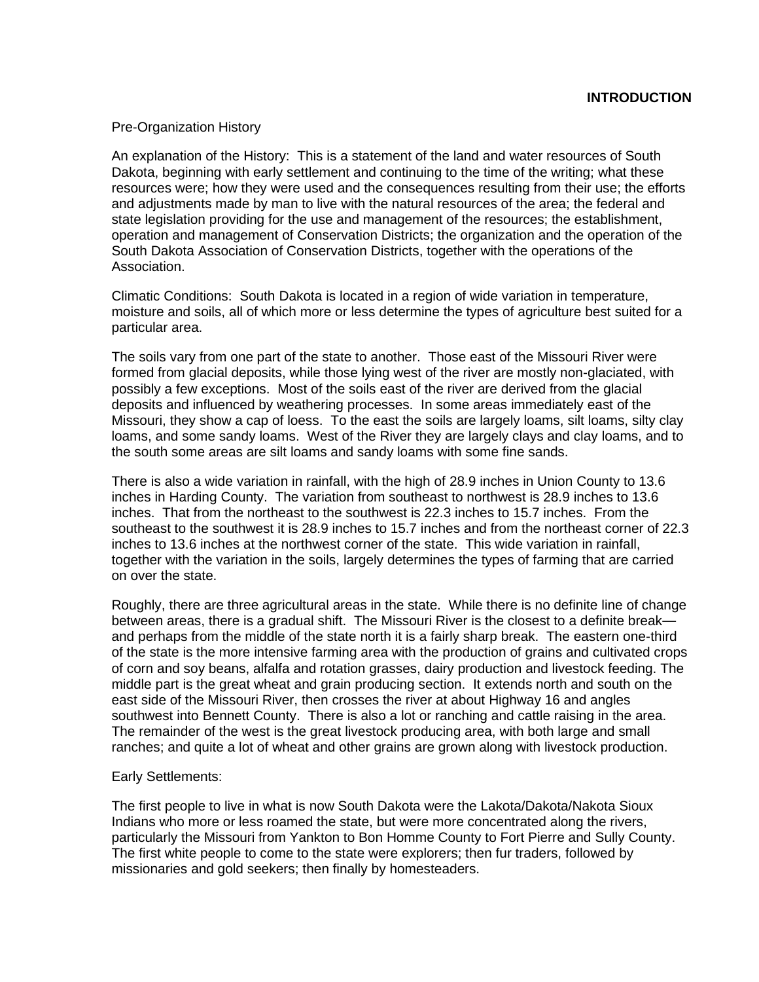## Pre-Organization History

An explanation of the History: This is a statement of the land and water resources of South Dakota, beginning with early settlement and continuing to the time of the writing; what these resources were; how they were used and the consequences resulting from their use; the efforts and adjustments made by man to live with the natural resources of the area; the federal and state legislation providing for the use and management of the resources; the establishment, operation and management of Conservation Districts; the organization and the operation of the South Dakota Association of Conservation Districts, together with the operations of the Association.

Climatic Conditions: South Dakota is located in a region of wide variation in temperature, moisture and soils, all of which more or less determine the types of agriculture best suited for a particular area.

The soils vary from one part of the state to another. Those east of the Missouri River were formed from glacial deposits, while those lying west of the river are mostly non-glaciated, with possibly a few exceptions. Most of the soils east of the river are derived from the glacial deposits and influenced by weathering processes. In some areas immediately east of the Missouri, they show a cap of loess. To the east the soils are largely loams, silt loams, silty clay loams, and some sandy loams. West of the River they are largely clays and clay loams, and to the south some areas are silt loams and sandy loams with some fine sands.

There is also a wide variation in rainfall, with the high of 28.9 inches in Union County to 13.6 inches in Harding County. The variation from southeast to northwest is 28.9 inches to 13.6 inches. That from the northeast to the southwest is 22.3 inches to 15.7 inches. From the southeast to the southwest it is 28.9 inches to 15.7 inches and from the northeast corner of 22.3 inches to 13.6 inches at the northwest corner of the state. This wide variation in rainfall, together with the variation in the soils, largely determines the types of farming that are carried on over the state.

Roughly, there are three agricultural areas in the state. While there is no definite line of change between areas, there is a gradual shift. The Missouri River is the closest to a definite break and perhaps from the middle of the state north it is a fairly sharp break. The eastern one-third of the state is the more intensive farming area with the production of grains and cultivated crops of corn and soy beans, alfalfa and rotation grasses, dairy production and livestock feeding. The middle part is the great wheat and grain producing section. It extends north and south on the east side of the Missouri River, then crosses the river at about Highway 16 and angles southwest into Bennett County. There is also a lot or ranching and cattle raising in the area. The remainder of the west is the great livestock producing area, with both large and small ranches; and quite a lot of wheat and other grains are grown along with livestock production.

## Early Settlements:

The first people to live in what is now South Dakota were the Lakota/Dakota/Nakota Sioux Indians who more or less roamed the state, but were more concentrated along the rivers, particularly the Missouri from Yankton to Bon Homme County to Fort Pierre and Sully County. The first white people to come to the state were explorers; then fur traders, followed by missionaries and gold seekers; then finally by homesteaders.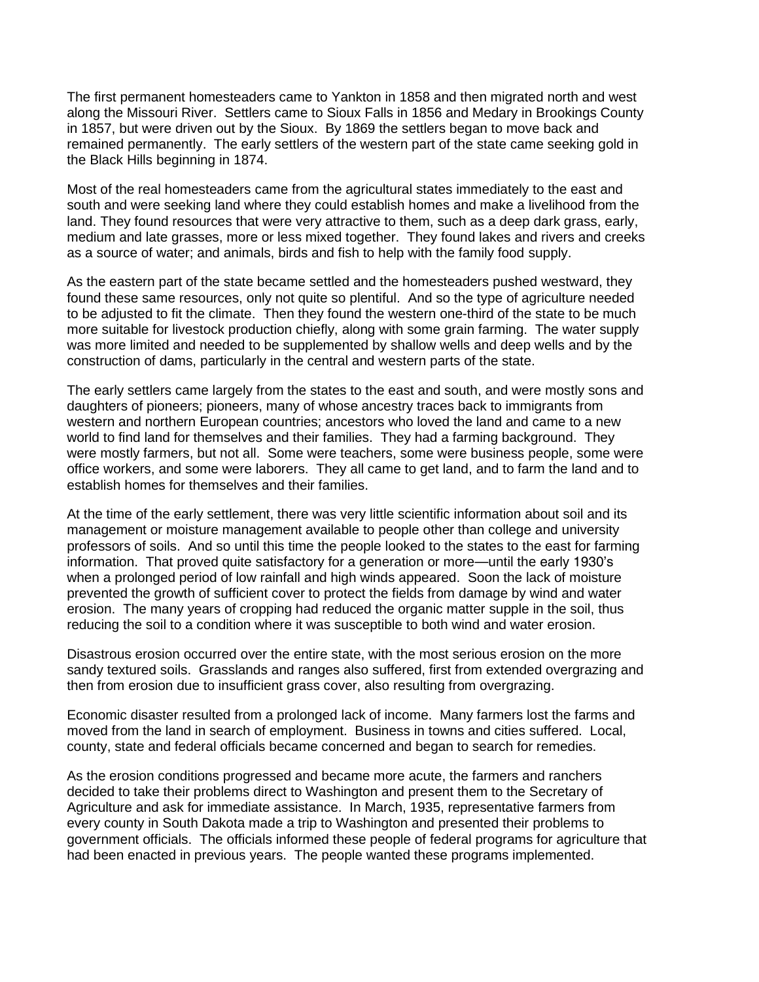The first permanent homesteaders came to Yankton in 1858 and then migrated north and west along the Missouri River. Settlers came to Sioux Falls in 1856 and Medary in Brookings County in 1857, but were driven out by the Sioux. By 1869 the settlers began to move back and remained permanently. The early settlers of the western part of the state came seeking gold in the Black Hills beginning in 1874.

Most of the real homesteaders came from the agricultural states immediately to the east and south and were seeking land where they could establish homes and make a livelihood from the land. They found resources that were very attractive to them, such as a deep dark grass, early, medium and late grasses, more or less mixed together. They found lakes and rivers and creeks as a source of water; and animals, birds and fish to help with the family food supply.

As the eastern part of the state became settled and the homesteaders pushed westward, they found these same resources, only not quite so plentiful. And so the type of agriculture needed to be adjusted to fit the climate. Then they found the western one-third of the state to be much more suitable for livestock production chiefly, along with some grain farming. The water supply was more limited and needed to be supplemented by shallow wells and deep wells and by the construction of dams, particularly in the central and western parts of the state.

The early settlers came largely from the states to the east and south, and were mostly sons and daughters of pioneers; pioneers, many of whose ancestry traces back to immigrants from western and northern European countries; ancestors who loved the land and came to a new world to find land for themselves and their families. They had a farming background. They were mostly farmers, but not all. Some were teachers, some were business people, some were office workers, and some were laborers. They all came to get land, and to farm the land and to establish homes for themselves and their families.

At the time of the early settlement, there was very little scientific information about soil and its management or moisture management available to people other than college and university professors of soils. And so until this time the people looked to the states to the east for farming information. That proved quite satisfactory for a generation or more—until the early 1930's when a prolonged period of low rainfall and high winds appeared. Soon the lack of moisture prevented the growth of sufficient cover to protect the fields from damage by wind and water erosion. The many years of cropping had reduced the organic matter supple in the soil, thus reducing the soil to a condition where it was susceptible to both wind and water erosion.

Disastrous erosion occurred over the entire state, with the most serious erosion on the more sandy textured soils. Grasslands and ranges also suffered, first from extended overgrazing and then from erosion due to insufficient grass cover, also resulting from overgrazing.

Economic disaster resulted from a prolonged lack of income. Many farmers lost the farms and moved from the land in search of employment. Business in towns and cities suffered. Local, county, state and federal officials became concerned and began to search for remedies.

As the erosion conditions progressed and became more acute, the farmers and ranchers decided to take their problems direct to Washington and present them to the Secretary of Agriculture and ask for immediate assistance. In March, 1935, representative farmers from every county in South Dakota made a trip to Washington and presented their problems to government officials. The officials informed these people of federal programs for agriculture that had been enacted in previous years. The people wanted these programs implemented.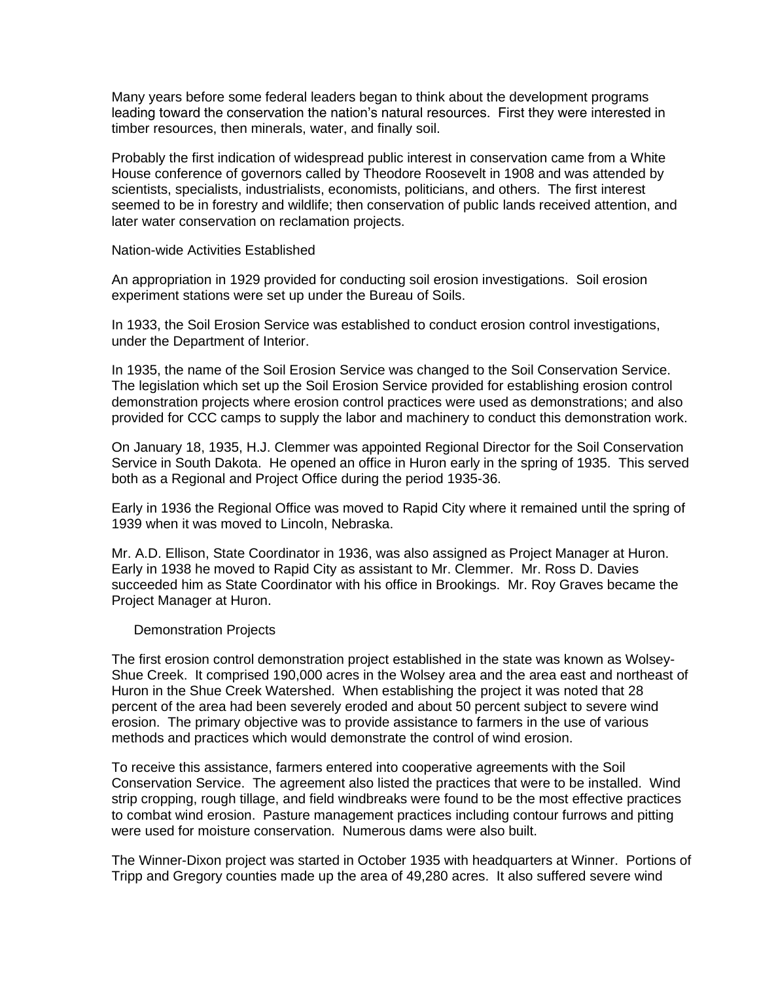Many years before some federal leaders began to think about the development programs leading toward the conservation the nation's natural resources. First they were interested in timber resources, then minerals, water, and finally soil.

Probably the first indication of widespread public interest in conservation came from a White House conference of governors called by Theodore Roosevelt in 1908 and was attended by scientists, specialists, industrialists, economists, politicians, and others. The first interest seemed to be in forestry and wildlife; then conservation of public lands received attention, and later water conservation on reclamation projects.

Nation-wide Activities Established

An appropriation in 1929 provided for conducting soil erosion investigations. Soil erosion experiment stations were set up under the Bureau of Soils.

In 1933, the Soil Erosion Service was established to conduct erosion control investigations, under the Department of Interior.

In 1935, the name of the Soil Erosion Service was changed to the Soil Conservation Service. The legislation which set up the Soil Erosion Service provided for establishing erosion control demonstration projects where erosion control practices were used as demonstrations; and also provided for CCC camps to supply the labor and machinery to conduct this demonstration work.

On January 18, 1935, H.J. Clemmer was appointed Regional Director for the Soil Conservation Service in South Dakota. He opened an office in Huron early in the spring of 1935. This served both as a Regional and Project Office during the period 1935-36.

Early in 1936 the Regional Office was moved to Rapid City where it remained until the spring of 1939 when it was moved to Lincoln, Nebraska.

Mr. A.D. Ellison, State Coordinator in 1936, was also assigned as Project Manager at Huron. Early in 1938 he moved to Rapid City as assistant to Mr. Clemmer. Mr. Ross D. Davies succeeded him as State Coordinator with his office in Brookings. Mr. Roy Graves became the Project Manager at Huron.

## Demonstration Projects

The first erosion control demonstration project established in the state was known as Wolsey-Shue Creek. It comprised 190,000 acres in the Wolsey area and the area east and northeast of Huron in the Shue Creek Watershed. When establishing the project it was noted that 28 percent of the area had been severely eroded and about 50 percent subject to severe wind erosion. The primary objective was to provide assistance to farmers in the use of various methods and practices which would demonstrate the control of wind erosion.

To receive this assistance, farmers entered into cooperative agreements with the Soil Conservation Service. The agreement also listed the practices that were to be installed. Wind strip cropping, rough tillage, and field windbreaks were found to be the most effective practices to combat wind erosion. Pasture management practices including contour furrows and pitting were used for moisture conservation. Numerous dams were also built.

The Winner-Dixon project was started in October 1935 with headquarters at Winner. Portions of Tripp and Gregory counties made up the area of 49,280 acres. It also suffered severe wind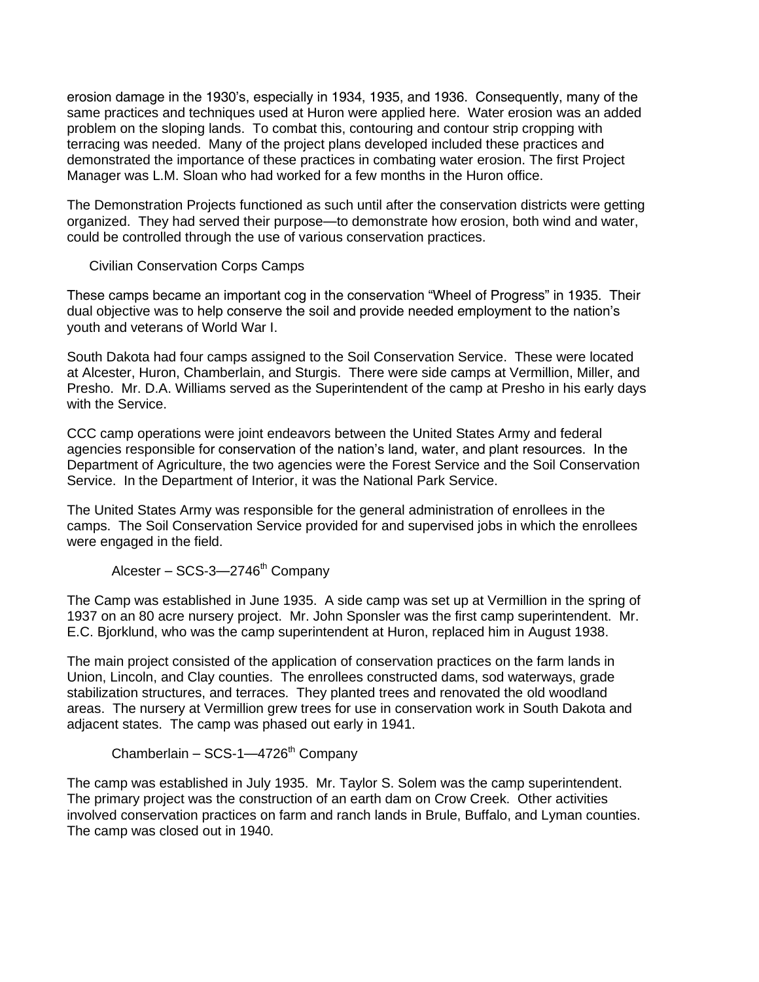erosion damage in the 1930's, especially in 1934, 1935, and 1936. Consequently, many of the same practices and techniques used at Huron were applied here. Water erosion was an added problem on the sloping lands. To combat this, contouring and contour strip cropping with terracing was needed. Many of the project plans developed included these practices and demonstrated the importance of these practices in combating water erosion. The first Project Manager was L.M. Sloan who had worked for a few months in the Huron office.

The Demonstration Projects functioned as such until after the conservation districts were getting organized. They had served their purpose—to demonstrate how erosion, both wind and water, could be controlled through the use of various conservation practices.

Civilian Conservation Corps Camps

These camps became an important cog in the conservation "Wheel of Progress" in 1935. Their dual objective was to help conserve the soil and provide needed employment to the nation's youth and veterans of World War I.

South Dakota had four camps assigned to the Soil Conservation Service. These were located at Alcester, Huron, Chamberlain, and Sturgis. There were side camps at Vermillion, Miller, and Presho. Mr. D.A. Williams served as the Superintendent of the camp at Presho in his early days with the Service.

CCC camp operations were joint endeavors between the United States Army and federal agencies responsible for conservation of the nation's land, water, and plant resources. In the Department of Agriculture, the two agencies were the Forest Service and the Soil Conservation Service. In the Department of Interior, it was the National Park Service.

The United States Army was responsible for the general administration of enrollees in the camps. The Soil Conservation Service provided for and supervised jobs in which the enrollees were engaged in the field.

Alcester –  $SCS-3$ -2746<sup>th</sup> Company

The Camp was established in June 1935. A side camp was set up at Vermillion in the spring of 1937 on an 80 acre nursery project. Mr. John Sponsler was the first camp superintendent. Mr. E.C. Bjorklund, who was the camp superintendent at Huron, replaced him in August 1938.

The main project consisted of the application of conservation practices on the farm lands in Union, Lincoln, and Clay counties. The enrollees constructed dams, sod waterways, grade stabilization structures, and terraces. They planted trees and renovated the old woodland areas. The nursery at Vermillion grew trees for use in conservation work in South Dakota and adjacent states. The camp was phased out early in 1941.

Chamberlain –  $SCS-1$ -4726<sup>th</sup> Company

The camp was established in July 1935. Mr. Taylor S. Solem was the camp superintendent. The primary project was the construction of an earth dam on Crow Creek. Other activities involved conservation practices on farm and ranch lands in Brule, Buffalo, and Lyman counties. The camp was closed out in 1940.